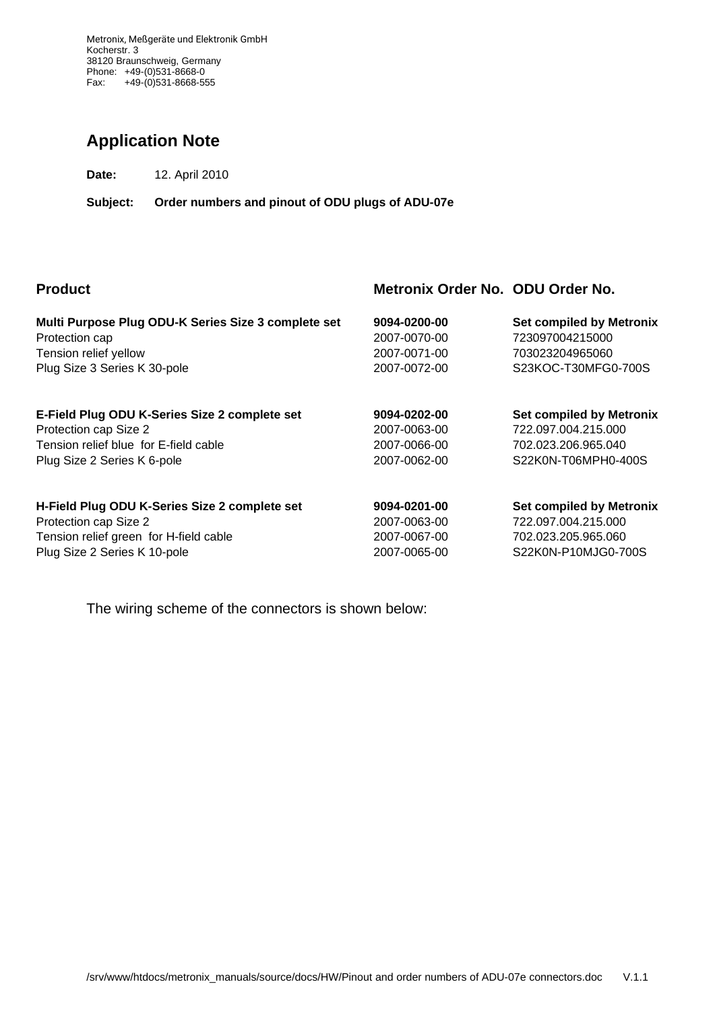Metronix, Meßgeräte und Elektronik GmbH Kocherstr. 3 38120 Braunschweig, Germany Phone: +49-(0)531-8668-0 Fax: +49-(0)531-8668-555

# **Application Note**

**Date:** 12. April 2010

**Subject: Order numbers and pinout of ODU plugs of ADU-07e**

# **Product Metronix Order No. ODU Order No.**

| Multi Purpose Plug ODU-K Series Size 3 complete set | 9094-0200-00 | <b>Set compiled by Metronix</b> |
|-----------------------------------------------------|--------------|---------------------------------|
| Protection cap                                      | 2007-0070-00 | 723097004215000                 |
| Tension relief yellow                               | 2007-0071-00 | 703023204965060                 |
| Plug Size 3 Series K 30-pole                        | 2007-0072-00 | S23KOC-T30MFG0-700S             |
| E-Field Plug ODU K-Series Size 2 complete set       | 9094-0202-00 | Set compiled by Metronix        |
| Protection cap Size 2                               | 2007-0063-00 | 722.097.004.215.000             |
| Tension relief blue for E-field cable               | 2007-0066-00 | 702.023.206.965.040             |
| Plug Size 2 Series K 6-pole                         | 2007-0062-00 | S22K0N-T06MPH0-400S             |
| H-Field Plug ODU K-Series Size 2 complete set       | 9094-0201-00 | <b>Set compiled by Metronix</b> |
| Protection cap Size 2                               | 2007-0063-00 | 722.097.004.215.000             |
| Tension relief green for H-field cable              | 2007-0067-00 | 702.023.205.965.060             |
| Plug Size 2 Series K 10-pole                        | 2007-0065-00 | S22K0N-P10MJG0-700S             |

The wiring scheme of the connectors is shown below: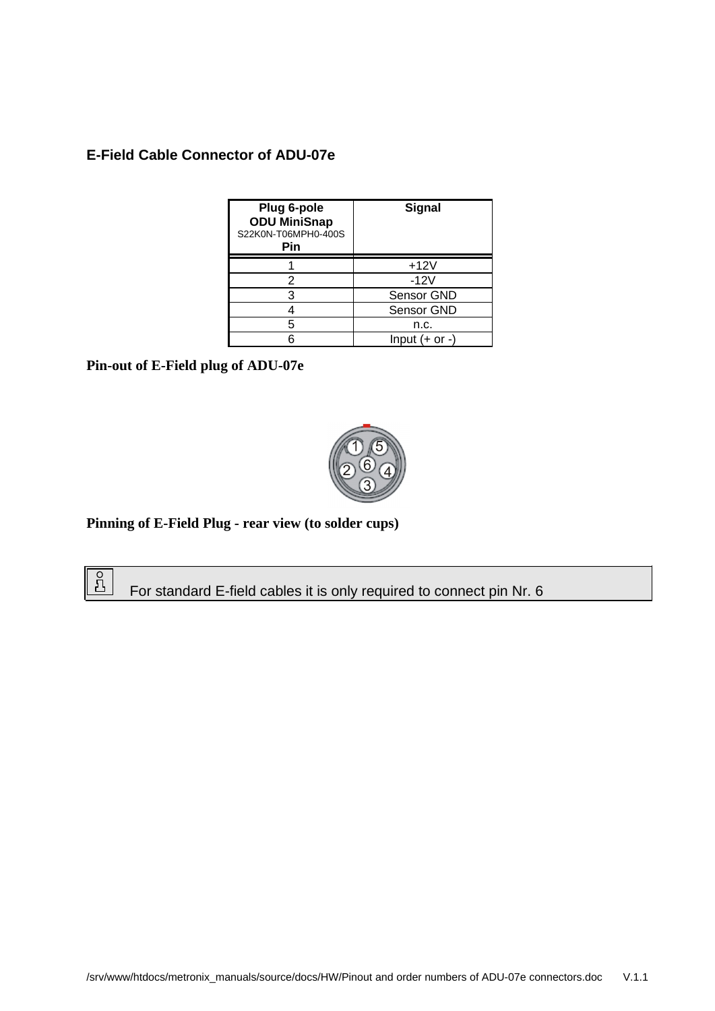# **E-Field Cable Connector of ADU-07e**

| Plug 6-pole<br><b>ODU MiniSnap</b><br>S22K0N-T06MPH0-400S<br>Pin | Signal              |
|------------------------------------------------------------------|---------------------|
|                                                                  | $+12V$              |
| 2                                                                | $-12V$              |
| 3                                                                | Sensor GND          |
|                                                                  | Sensor GND          |
| 5                                                                | n.c.                |
|                                                                  | Input $(+$ or $-$ ) |

**Pin-out of E-Field plug of ADU-07e**

 $\overline{\mathbf{g}}$ 



# **Pinning of E-Field Plug - rear view (to solder cups)**

For standard E-field cables it is only required to connect pin Nr. 6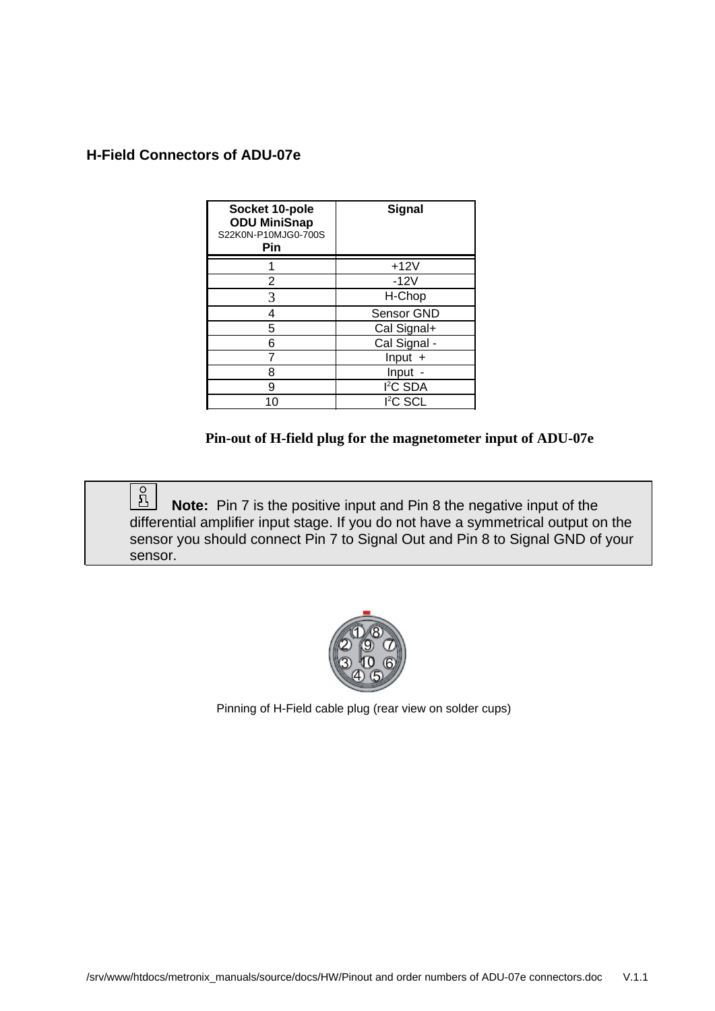## **H-Field Connectors of ADU-07e**

| Socket 10-pole<br><b>ODU MiniSnap</b><br>S22K0N-P10MJG0-700S<br>Pin | Signal               |
|---------------------------------------------------------------------|----------------------|
| 1                                                                   | $+12V$               |
| 2                                                                   | $-12V$               |
| 3                                                                   | H-Chop               |
| 4                                                                   | Sensor GND           |
| 5                                                                   | Cal Signal+          |
| 6                                                                   | Cal Signal -         |
|                                                                     | Input $+$            |
| 8                                                                   | Input -              |
| 9                                                                   | $l^2C$ SDA           |
| 10                                                                  | I <sup>2</sup> C SCL |

#### **Pin-out of H-field plug for the magnetometer input of ADU-07e**

 $\boxed{\circ}$ **Note:** Pin 7 is the positive input and Pin 8 the negative input of the differential amplifier input stage. If you do not have a symmetrical output on the sensor you should connect Pin 7 to Signal Out and Pin 8 to Signal GND of your sensor.



Pinning of H-Field cable plug (rear view on solder cups)